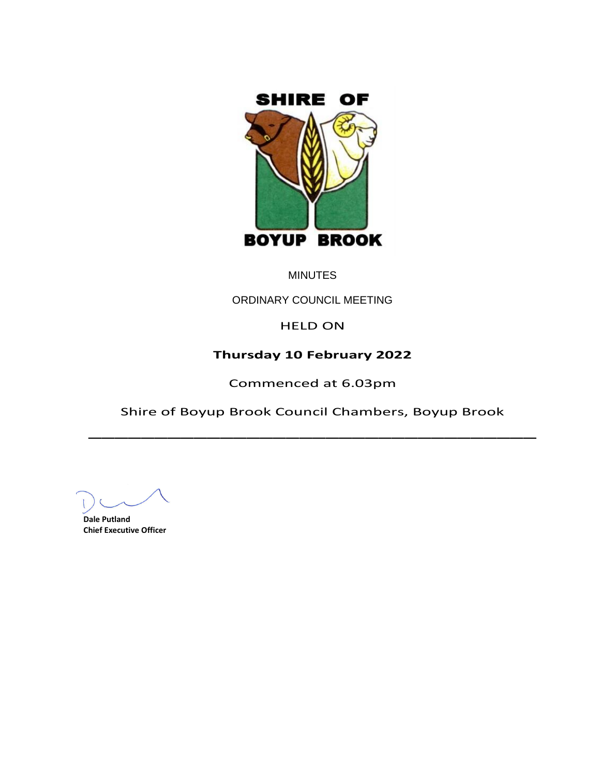

# **MINUTES**

ORDINARY COUNCIL MEETING

HELD ON

# **Thursday 10 February 2022**

Commenced at 6.03pm

Shire of Boyup Brook Council Chambers, Boyup Brook \_\_\_\_\_\_\_\_\_\_\_\_\_\_\_\_\_\_\_\_\_\_\_\_\_\_\_\_\_\_\_\_\_\_

**Dale Putland Chief Executive Officer**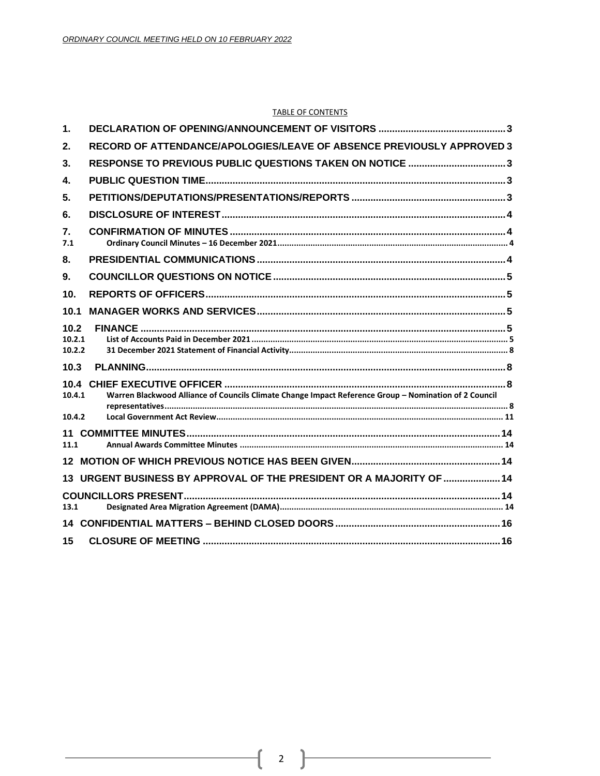#### **TABLE OF CONTENTS**

| 1.                       |                                                                                                       |  |
|--------------------------|-------------------------------------------------------------------------------------------------------|--|
| 2.                       | RECORD OF ATTENDANCE/APOLOGIES/LEAVE OF ABSENCE PREVIOUSLY APPROVED 3                                 |  |
| 3.                       | RESPONSE TO PREVIOUS PUBLIC QUESTIONS TAKEN ON NOTICE 3                                               |  |
| 4.                       |                                                                                                       |  |
| 5.                       |                                                                                                       |  |
| 6.                       |                                                                                                       |  |
| 7.<br>7.1                |                                                                                                       |  |
| 8.                       |                                                                                                       |  |
| 9.                       |                                                                                                       |  |
| 10 <sub>1</sub>          |                                                                                                       |  |
| 10.1                     |                                                                                                       |  |
| 10.2<br>10.2.1<br>10.2.2 |                                                                                                       |  |
| 10.3                     |                                                                                                       |  |
| 10.4<br>10.4.1           | Warren Blackwood Alliance of Councils Climate Change Impact Reference Group - Nomination of 2 Council |  |
| 10.4.2                   |                                                                                                       |  |
| 11.1                     |                                                                                                       |  |
|                          |                                                                                                       |  |
|                          | 13 URGENT BUSINESS BY APPROVAL OF THE PRESIDENT OR A MAJORITY OF  14                                  |  |
| 13.1                     |                                                                                                       |  |
| 14                       |                                                                                                       |  |
| 15                       |                                                                                                       |  |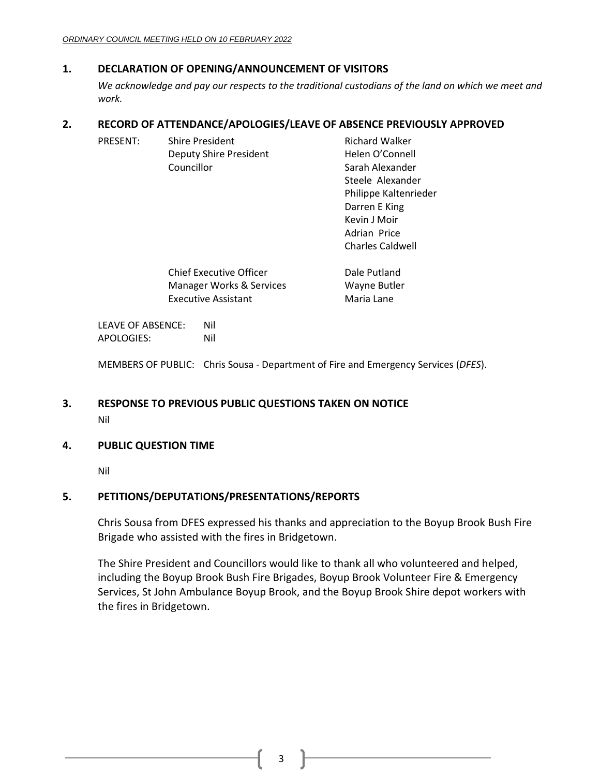# <span id="page-2-0"></span>**1. DECLARATION OF OPENING/ANNOUNCEMENT OF VISITORS**

*We acknowledge and pay our respects to the traditional custodians of the land on which we meet and work.*

# <span id="page-2-1"></span>**2. RECORD OF ATTENDANCE/APOLOGIES/LEAVE OF ABSENCE PREVIOUSLY APPROVED**

| <b>PRESENT:</b> | <b>Shire President</b>     | <b>Richard Walker</b>   |
|-----------------|----------------------------|-------------------------|
|                 | Deputy Shire President     | Helen O'Connell         |
|                 | Councillor                 | Sarah Alexander         |
|                 |                            | Steele Alexander        |
|                 |                            | Philippe Kaltenrieder   |
|                 |                            | Darren E King           |
|                 |                            | Kevin J Moir            |
|                 |                            | Adrian Price            |
|                 |                            | <b>Charles Caldwell</b> |
|                 | Chief Executive Officer    | Dale Putland            |
|                 | Manager Works & Services   | Wayne Butler            |
|                 | <b>Executive Assistant</b> | Maria Lane              |

LEAVE OF ABSENCE: Nil APOLOGIES: Nil

MEMBERS OF PUBLIC: Chris Sousa - Department of Fire and Emergency Services (*DFES*).

# <span id="page-2-2"></span>**3. RESPONSE TO PREVIOUS PUBLIC QUESTIONS TAKEN ON NOTICE** Nil

# <span id="page-2-3"></span>**4. PUBLIC QUESTION TIME**

Nil

# <span id="page-2-4"></span>**5. PETITIONS/DEPUTATIONS/PRESENTATIONS/REPORTS**

Chris Sousa from DFES expressed his thanks and appreciation to the Boyup Brook Bush Fire Brigade who assisted with the fires in Bridgetown.

The Shire President and Councillors would like to thank all who volunteered and helped, including the Boyup Brook Bush Fire Brigades, Boyup Brook Volunteer Fire & Emergency Services, St John Ambulance Boyup Brook, and the Boyup Brook Shire depot workers with the fires in Bridgetown.

3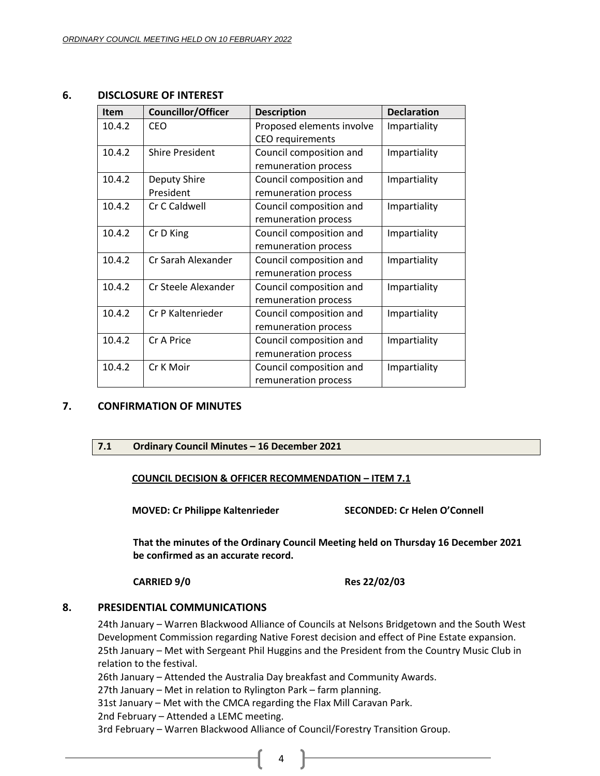### <span id="page-3-0"></span>**6. DISCLOSURE OF INTEREST**

| <b>Item</b> | <b>Councillor/Officer</b> | <b>Description</b>        | <b>Declaration</b> |
|-------------|---------------------------|---------------------------|--------------------|
| 10.4.2      | CEO.                      | Proposed elements involve | Impartiality       |
|             |                           | <b>CEO</b> requirements   |                    |
| 10.4.2      | <b>Shire President</b>    | Council composition and   | Impartiality       |
|             |                           | remuneration process      |                    |
| 10.4.2      | Deputy Shire              | Council composition and   | Impartiality       |
|             | President                 | remuneration process      |                    |
| 10.4.2      | Cr C Caldwell             | Council composition and   | Impartiality       |
|             |                           | remuneration process      |                    |
| 10.4.2      | Cr D King                 | Council composition and   | Impartiality       |
|             |                           | remuneration process      |                    |
| 10.4.2      | Cr Sarah Alexander        | Council composition and   | Impartiality       |
|             |                           | remuneration process      |                    |
| 10.4.2      | Cr Steele Alexander       | Council composition and   | Impartiality       |
|             |                           | remuneration process      |                    |
| 10.4.2      | Cr P Kaltenrieder         | Council composition and   | Impartiality       |
|             |                           | remuneration process      |                    |
| 10.4.2      | Cr A Price                | Council composition and   | Impartiality       |
|             |                           | remuneration process      |                    |
| 10.4.2      | Cr K Moir                 | Council composition and   | Impartiality       |
|             |                           | remuneration process      |                    |

# <span id="page-3-2"></span><span id="page-3-1"></span>**7. CONFIRMATION OF MINUTES**

#### **7.1 Ordinary Council Minutes – 16 December 2021**

#### **COUNCIL DECISION & OFFICER RECOMMENDATION – ITEM 7.1**

**MOVED: Cr Philippe Kaltenrieder SECONDED: Cr Helen O'Connell**

**That the minutes of the Ordinary Council Meeting held on Thursday 16 December 2021 be confirmed as an accurate record.**

**CARRIED 9/0 Res 22/02/03**

#### <span id="page-3-3"></span>**8. PRESIDENTIAL COMMUNICATIONS**

24th January – Warren Blackwood Alliance of Councils at Nelsons Bridgetown and the South West Development Commission regarding Native Forest decision and effect of Pine Estate expansion. 25th January – Met with Sergeant Phil Huggins and the President from the Country Music Club in relation to the festival.

26th January – Attended the Australia Day breakfast and Community Awards.

27th January – Met in relation to Rylington Park – farm planning.

31st January – Met with the CMCA regarding the Flax Mill Caravan Park.

2nd February – Attended a LEMC meeting.

3rd February – Warren Blackwood Alliance of Council/Forestry Transition Group.

4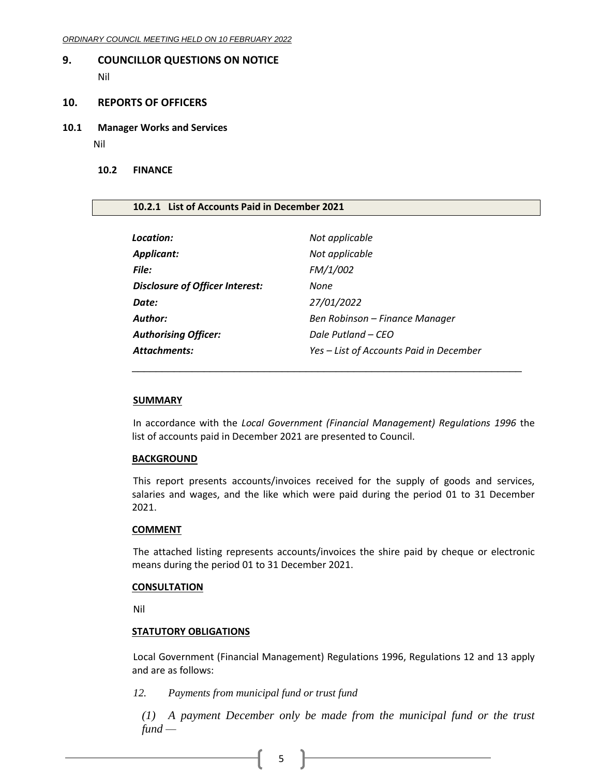# <span id="page-4-0"></span>**9. COUNCILLOR QUESTIONS ON NOTICE**

Nil

#### <span id="page-4-1"></span>**10. REPORTS OF OFFICERS**

<span id="page-4-2"></span>**10.1 Manager Works and Services**

Nil

#### <span id="page-4-3"></span>**10.2 FINANCE**

#### <span id="page-4-4"></span>**10.2.1 List of Accounts Paid in December 2021**

| Location:                              | Not applicable                          |
|----------------------------------------|-----------------------------------------|
| <b>Applicant:</b>                      | Not applicable                          |
| File:                                  | FM/1/002                                |
| <b>Disclosure of Officer Interest:</b> | None                                    |
| Date:                                  | 27/01/2022                              |
| Author:                                | Ben Robinson – Finance Manager          |
| <b>Authorising Officer:</b>            | Dale Putland – CEO                      |
| Attachments:                           | Yes - List of Accounts Paid in December |

#### **SUMMARY**

In accordance with the *Local Government (Financial Management) Regulations 1996* the list of accounts paid in December 2021 are presented to Council.

\_\_\_\_\_\_\_\_\_\_\_\_\_\_\_\_\_\_\_\_\_\_\_\_\_\_\_\_\_\_\_\_\_\_\_\_\_\_\_\_\_\_\_\_\_\_\_\_\_\_\_\_\_\_\_\_\_\_\_\_\_\_\_\_\_

#### **BACKGROUND**

This report presents accounts/invoices received for the supply of goods and services, salaries and wages, and the like which were paid during the period 01 to 31 December 2021.

#### **COMMENT**

The attached listing represents accounts/invoices the shire paid by cheque or electronic means during the period 01 to 31 December 2021.

#### **CONSULTATION**

Nil

#### **STATUTORY OBLIGATIONS**

Local Government (Financial Management) Regulations 1996, Regulations 12 and 13 apply and are as follows:

*12. Payments from municipal fund or trust fund*

*(1) A payment December only be made from the municipal fund or the trust fund —*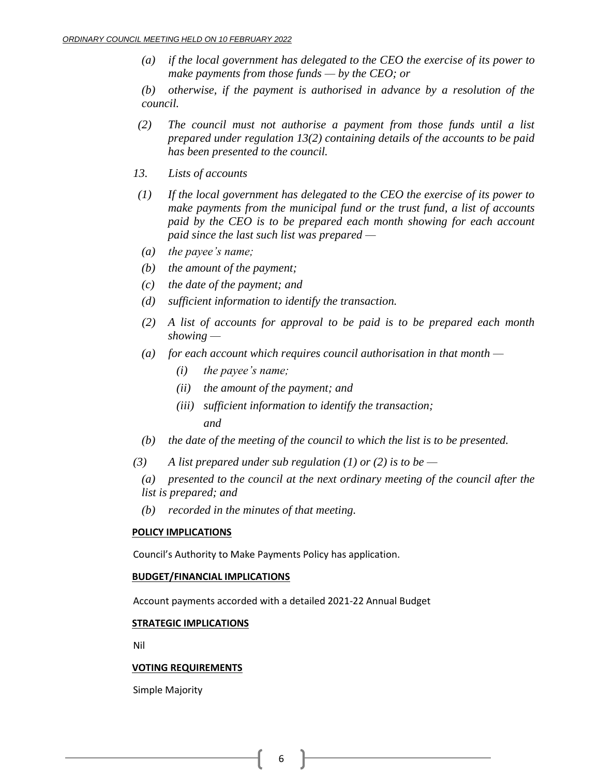*(a) if the local government has delegated to the CEO the exercise of its power to make payments from those funds — by the CEO; or*

*(b) otherwise, if the payment is authorised in advance by a resolution of the council.*

- *(2) The council must not authorise a payment from those funds until a list prepared under regulation 13(2) containing details of the accounts to be paid has been presented to the council.*
- *13. Lists of accounts*
- *(1) If the local government has delegated to the CEO the exercise of its power to make payments from the municipal fund or the trust fund, a list of accounts paid by the CEO is to be prepared each month showing for each account paid since the last such list was prepared —*
- *(a) the payee's name;*
- *(b) the amount of the payment;*
- *(c) the date of the payment; and*
- *(d) sufficient information to identify the transaction.*
- *(2) A list of accounts for approval to be paid is to be prepared each month showing —*
- *(a) for each account which requires council authorisation in that month —*
	- *(i) the payee's name;*
	- *(ii) the amount of the payment; and*
	- *(iii) sufficient information to identify the transaction; and*
- *(b) the date of the meeting of the council to which the list is to be presented.*
- *(3) A list prepared under sub regulation (1) or (2) is to be —*
	- *(a) presented to the council at the next ordinary meeting of the council after the list is prepared; and*
	- *(b) recorded in the minutes of that meeting.*

#### **POLICY IMPLICATIONS**

Council's Authority to Make Payments Policy has application.

### **BUDGET/FINANCIAL IMPLICATIONS**

Account payments accorded with a detailed 2021-22 Annual Budget

#### **STRATEGIC IMPLICATIONS**

Nil

#### **VOTING REQUIREMENTS**

Simple Majority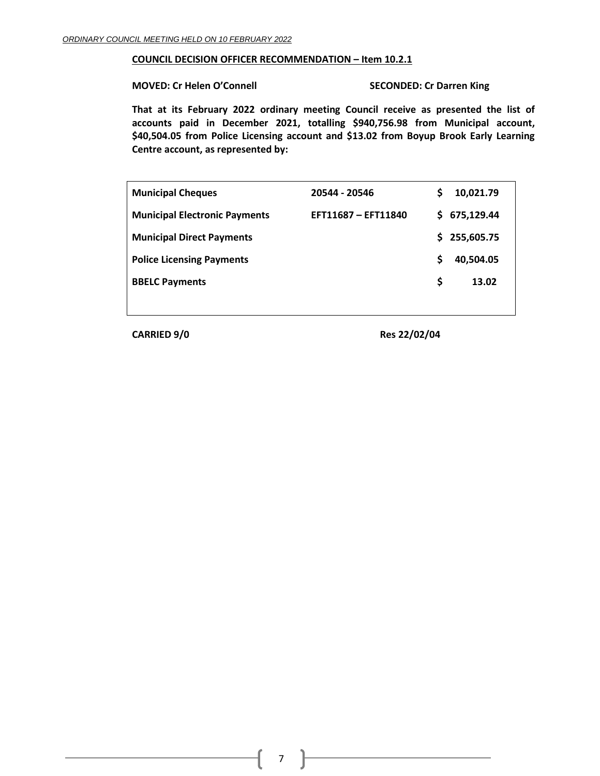#### **COUNCIL DECISION OFFICER RECOMMENDATION – Item 10.2.1**

**MOVED: Cr Helen O'Connell SECONDED: Cr Darren King**

**That at its February 2022 ordinary meeting Council receive as presented the list of accounts paid in December 2021, totalling \$940,756.98 from Municipal account, \$40,504.05 from Police Licensing account and \$13.02 from Boyup Brook Early Learning Centre account, as represented by:**

| <b>Municipal Cheques</b>             | 20544 - 20546       | S | 10,021.79  |
|--------------------------------------|---------------------|---|------------|
| <b>Municipal Electronic Payments</b> | EFT11687 - EFT11840 | S | 675,129.44 |
| <b>Municipal Direct Payments</b>     |                     | S | 255,605.75 |
| <b>Police Licensing Payments</b>     |                     | S | 40,504.05  |
| <b>BBELC Payments</b>                |                     | S | 13.02      |
|                                      |                     |   |            |

**CARRIED 9/0 Res 22/02/04**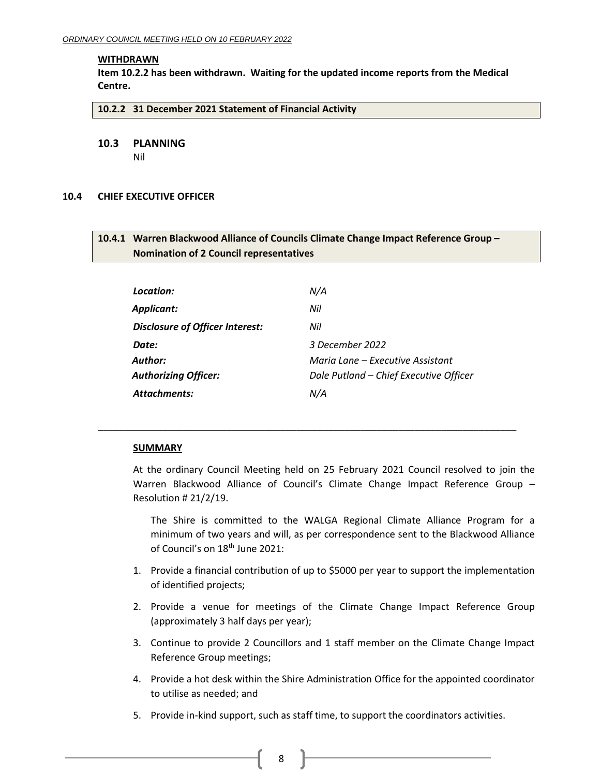#### **WITHDRAWN**

**Item 10.2.2 has been withdrawn. Waiting for the updated income reports from the Medical Centre.**

#### <span id="page-7-0"></span>**10.2.2 31 December 2021 Statement of Financial Activity**

<span id="page-7-1"></span>**10.3 PLANNING**

Nil

#### <span id="page-7-3"></span><span id="page-7-2"></span>**10.4 CHIEF EXECUTIVE OFFICER**

# **10.4.1 Warren Blackwood Alliance of Councils Climate Change Impact Reference Group – Nomination of 2 Council representatives**

| Location:                       | N/A                                    |
|---------------------------------|----------------------------------------|
| Applicant:                      | Nil                                    |
| Disclosure of Officer Interest: | Nil                                    |
| Date:                           | 3 December 2022                        |
| Author:                         | Maria Lane – Executive Assistant       |
| <b>Authorizing Officer:</b>     | Dale Putland - Chief Executive Officer |
| Attachments:                    | N/A                                    |

\_\_\_\_\_\_\_\_\_\_\_\_\_\_\_\_\_\_\_\_\_\_\_\_\_\_\_\_\_\_\_\_\_\_\_\_\_\_\_\_\_\_\_\_\_\_\_\_\_\_\_\_\_\_\_\_\_\_\_\_\_\_\_\_\_\_\_\_\_\_\_\_\_\_\_\_\_\_

#### **SUMMARY**

At the ordinary Council Meeting held on 25 February 2021 Council resolved to join the Warren Blackwood Alliance of Council's Climate Change Impact Reference Group – Resolution # 21/2/19.

The Shire is committed to the WALGA Regional Climate Alliance Program for a minimum of two years and will, as per correspondence sent to the Blackwood Alliance of Council's on 18<sup>th</sup> June 2021:

- 1. Provide a financial contribution of up to \$5000 per year to support the implementation of identified projects;
- 2. Provide a venue for meetings of the Climate Change Impact Reference Group (approximately 3 half days per year);
- 3. Continue to provide 2 Councillors and 1 staff member on the Climate Change Impact Reference Group meetings;
- 4. Provide a hot desk within the Shire Administration Office for the appointed coordinator to utilise as needed; and
- 5. Provide in-kind support, such as staff time, to support the coordinators activities.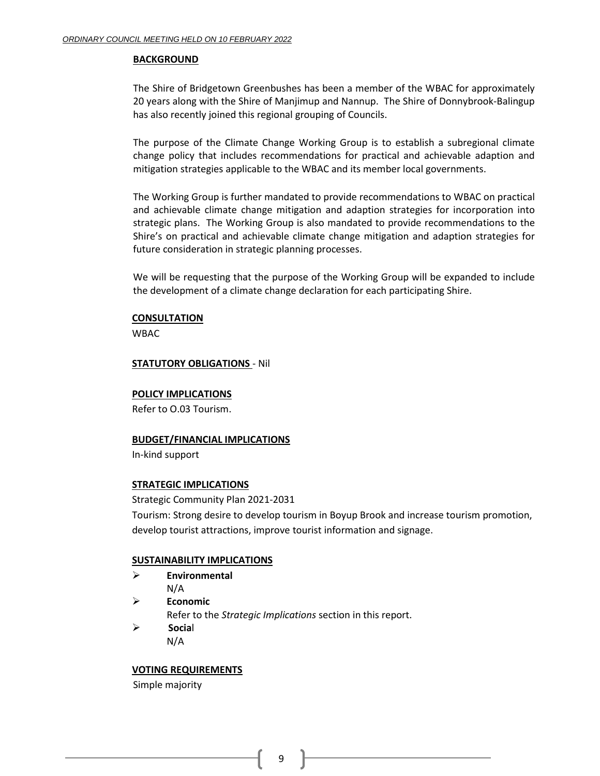### **BACKGROUND**

The Shire of Bridgetown Greenbushes has been a member of the WBAC for approximately 20 years along with the Shire of Manjimup and Nannup. The Shire of Donnybrook-Balingup has also recently joined this regional grouping of Councils.

The purpose of the Climate Change Working Group is to establish a subregional climate change policy that includes recommendations for practical and achievable adaption and mitigation strategies applicable to the WBAC and its member local governments.

The Working Group is further mandated to provide recommendations to WBAC on practical and achievable climate change mitigation and adaption strategies for incorporation into strategic plans. The Working Group is also mandated to provide recommendations to the Shire's on practical and achievable climate change mitigation and adaption strategies for future consideration in strategic planning processes.

We will be requesting that the purpose of the Working Group will be expanded to include the development of a climate change declaration for each participating Shire.

### **CONSULTATION**

WBAC

### **STATUTORY OBLIGATIONS** - Nil

#### **POLICY IMPLICATIONS**

Refer to O.03 Tourism.

#### **BUDGET/FINANCIAL IMPLICATIONS**

In-kind support

#### **STRATEGIC IMPLICATIONS**

Strategic Community Plan 2021-2031

Tourism: Strong desire to develop tourism in Boyup Brook and increase tourism promotion, develop tourist attractions, improve tourist information and signage.

# **SUSTAINABILITY IMPLICATIONS**

- ➢ **Environmental** N/A
- ➢ **Economic**

Refer to the *Strategic Implications* section in this report.

➢ **Socia**l N/A

# **VOTING REQUIREMENTS**

Simple majority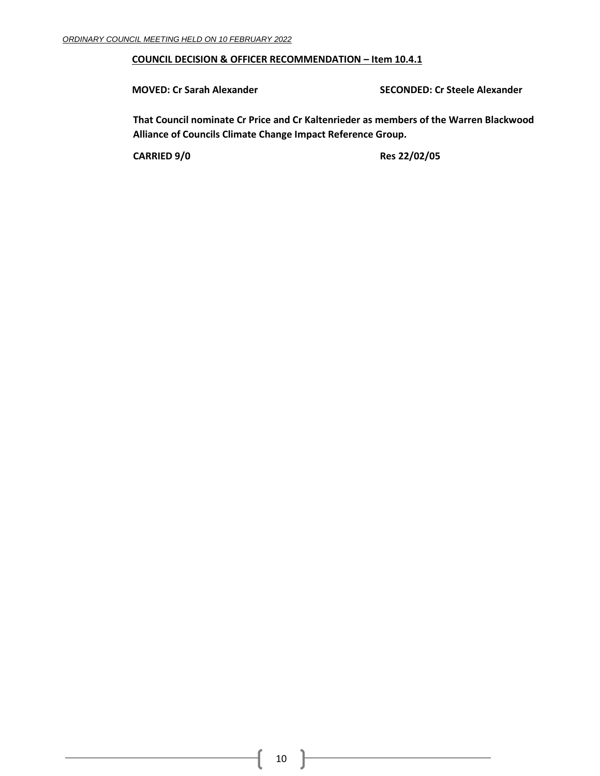# **COUNCIL DECISION & OFFICER RECOMMENDATION – Item 10.4.1**

**MOVED: Cr Sarah Alexander SECONDED: Cr Steele Alexander**

**That Council nominate Cr Price and Cr Kaltenrieder as members of the Warren Blackwood Alliance of Councils Climate Change Impact Reference Group.**

**CARRIED 9/0 Res 22/02/05**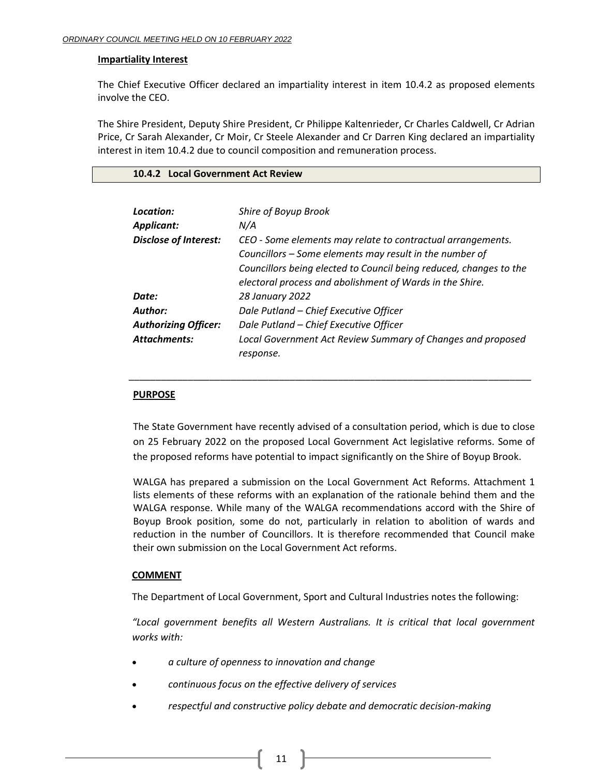#### **Impartiality Interest**

The Chief Executive Officer declared an impartiality interest in item 10.4.2 as proposed elements involve the CEO.

The Shire President, Deputy Shire President, Cr Philippe Kaltenrieder, Cr Charles Caldwell, Cr Adrian Price, Cr Sarah Alexander, Cr Moir, Cr Steele Alexander and Cr Darren King declared an impartiality interest in item 10.4.2 due to council composition and remuneration process.

#### <span id="page-10-0"></span>**10.4.2 Local Government Act Review**

| Location:<br><b>Applicant:</b> | Shire of Boyup Brook<br>N/A                                                                                                                                                                                                                              |
|--------------------------------|----------------------------------------------------------------------------------------------------------------------------------------------------------------------------------------------------------------------------------------------------------|
| <b>Disclose of Interest:</b>   | CEO - Some elements may relate to contractual arrangements.<br>Councillors - Some elements may result in the number of<br>Councillors being elected to Council being reduced, changes to the<br>electoral process and abolishment of Wards in the Shire. |
| Date:                          | 28 January 2022                                                                                                                                                                                                                                          |
| Author:                        | Dale Putland - Chief Executive Officer                                                                                                                                                                                                                   |
| <b>Authorizing Officer:</b>    | Dale Putland - Chief Executive Officer                                                                                                                                                                                                                   |
| <b>Attachments:</b>            | Local Government Act Review Summary of Changes and proposed<br>response.                                                                                                                                                                                 |

#### **PURPOSE**

The State Government have recently advised of a consultation period, which is due to close on 25 February 2022 on the proposed Local Government Act legislative reforms. Some of the proposed reforms have potential to impact significantly on the Shire of Boyup Brook.

\_\_\_\_\_\_\_\_\_\_\_\_\_\_\_\_\_\_\_\_\_\_\_\_\_\_\_\_\_\_\_\_\_\_\_\_\_\_\_\_\_\_\_\_\_\_\_\_\_\_\_\_\_\_\_\_\_\_\_\_\_\_\_\_\_\_\_\_\_\_\_\_\_\_\_

WALGA has prepared a submission on the Local Government Act Reforms. Attachment 1 lists elements of these reforms with an explanation of the rationale behind them and the WALGA response. While many of the WALGA recommendations accord with the Shire of Boyup Brook position, some do not, particularly in relation to abolition of wards and reduction in the number of Councillors. It is therefore recommended that Council make their own submission on the Local Government Act reforms.

#### **COMMENT**

The Department of Local Government, Sport and Cultural Industries notes the following:

*"Local government benefits all Western Australians. It is critical that local government works with:*

- *a culture of openness to innovation and change*
- *continuous focus on the effective delivery of services*
- *respectful and constructive policy debate and democratic decision-making*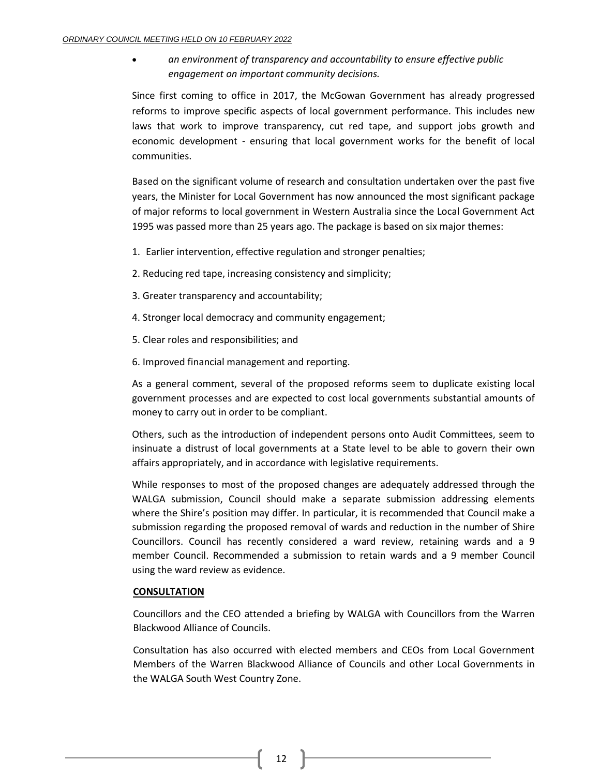• *an environment of transparency and accountability to ensure effective public engagement on important community decisions.*

Since first coming to office in 2017, the McGowan Government has already progressed reforms to improve specific aspects of local government performance. This includes new laws that work to improve transparency, cut red tape, and support jobs growth and economic development - ensuring that local government works for the benefit of local communities.

Based on the significant volume of research and consultation undertaken over the past five years, the Minister for Local Government has now announced the most significant package of major reforms to local government in Western Australia since the Local Government Act 1995 was passed more than 25 years ago. The package is based on six major themes:

- 1. Earlier intervention, effective regulation and stronger penalties;
- 2. Reducing red tape, increasing consistency and simplicity;
- 3. Greater transparency and accountability;
- 4. Stronger local democracy and community engagement;
- 5. Clear roles and responsibilities; and
- 6. Improved financial management and reporting.

As a general comment, several of the proposed reforms seem to duplicate existing local government processes and are expected to cost local governments substantial amounts of money to carry out in order to be compliant.

Others, such as the introduction of independent persons onto Audit Committees, seem to insinuate a distrust of local governments at a State level to be able to govern their own affairs appropriately, and in accordance with legislative requirements.

While responses to most of the proposed changes are adequately addressed through the WALGA submission, Council should make a separate submission addressing elements where the Shire's position may differ. In particular, it is recommended that Council make a submission regarding the proposed removal of wards and reduction in the number of Shire Councillors. Council has recently considered a ward review, retaining wards and a 9 member Council. Recommended a submission to retain wards and a 9 member Council using the ward review as evidence.

# **CONSULTATION**

Councillors and the CEO attended a briefing by WALGA with Councillors from the Warren Blackwood Alliance of Councils.

Consultation has also occurred with elected members and CEOs from Local Government Members of the Warren Blackwood Alliance of Councils and other Local Governments in the WALGA South West Country Zone.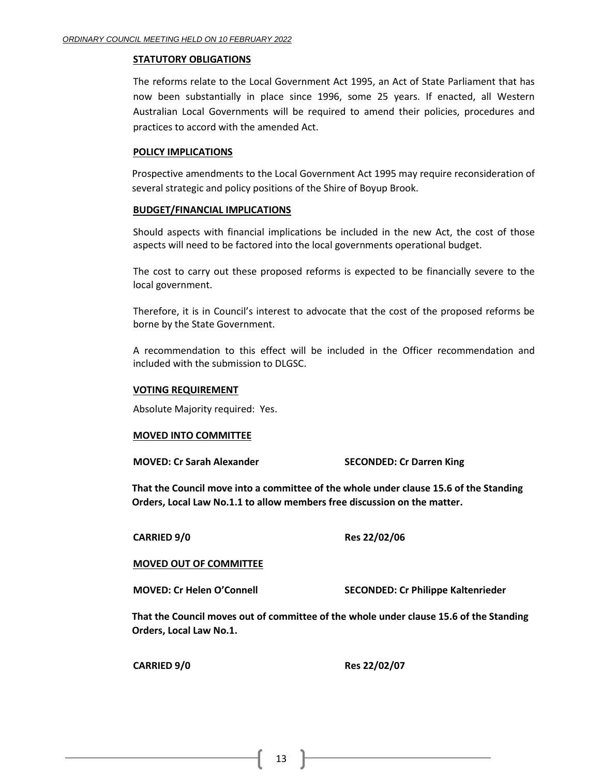#### **STATUTORY OBLIGATIONS**

The reforms relate to the Local Government Act 1995, an Act of State Parliament that has now been substantially in place since 1996, some 25 years. If enacted, all Western Australian Local Governments will be required to amend their policies, procedures and practices to accord with the amended Act.

#### **POLICY IMPLICATIONS**

Prospective amendments to the Local Government Act 1995 may require reconsideration of several strategic and policy positions of the Shire of Boyup Brook.

#### **BUDGET/FINANCIAL IMPLICATIONS**

Should aspects with financial implications be included in the new Act, the cost of those aspects will need to be factored into the local governments operational budget.

The cost to carry out these proposed reforms is expected to be financially severe to the local government.

Therefore, it is in Council's interest to advocate that the cost of the proposed reforms be borne by the State Government.

A recommendation to this effect will be included in the Officer recommendation and included with the submission to DLGSC.

#### **VOTING REQUIREMENT**

Absolute Majority required: Yes.

#### **MOVED INTO COMMITTEE**

**MOVED: Cr Sarah Alexander SECONDED: Cr Darren King**

**That the Council move into a committee of the whole under clause 15.6 of the Standing Orders, Local Law No.1.1 to allow members free discussion on the matter.**

**CARRIED 9/0 Res 22/02/06**

#### **MOVED OUT OF COMMITTEE**

**MOVED: Cr Helen O'Connell SECONDED: Cr Philippe Kaltenrieder**

**That the Council moves out of committee of the whole under clause 15.6 of the Standing Orders, Local Law No.1.**

**CARRIED 9/0 Res 22/02/07**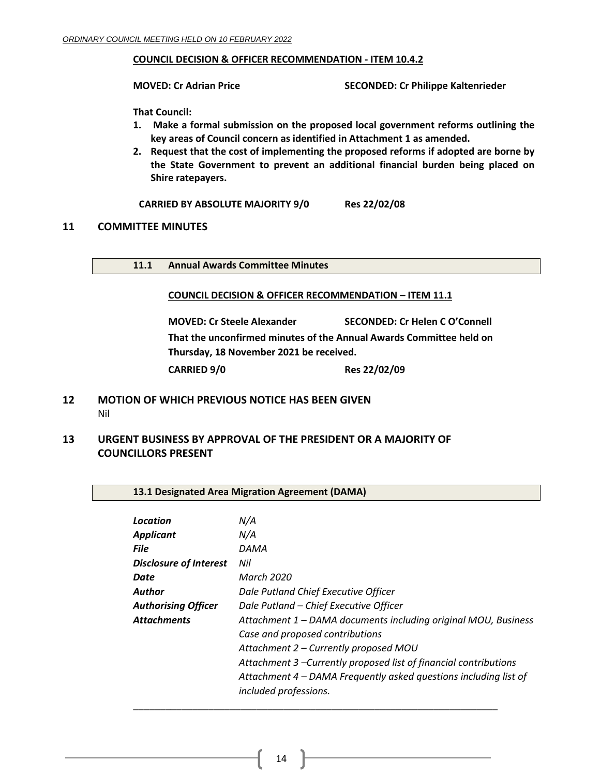### **COUNCIL DECISION & OFFICER RECOMMENDATION - ITEM 10.4.2**

**MOVED: Cr Adrian Price SECONDED: Cr Philippe Kaltenrieder**

**That Council:**

- **1. Make a formal submission on the proposed local government reforms outlining the key areas of Council concern as identified in Attachment 1 as amended.**
- **2. Request that the cost of implementing the proposed reforms if adopted are borne by the State Government to prevent an additional financial burden being placed on Shire ratepayers.**

**CARRIED BY ABSOLUTE MAJORITY 9/0 Res 22/02/08**

### <span id="page-13-0"></span>**11 COMMITTEE MINUTES**

<span id="page-13-1"></span>**11.1 Annual Awards Committee Minutes**

#### **COUNCIL DECISION & OFFICER RECOMMENDATION – ITEM 11.1**

**MOVED: Cr Steele Alexander SECONDED: Cr Helen C O'Connell That the unconfirmed minutes of the Annual Awards Committee held on Thursday, 18 November 2021 be received. CARRIED 9/0 Res 22/02/09**

# <span id="page-13-2"></span>**12 MOTION OF WHICH PREVIOUS NOTICE HAS BEEN GIVEN** Nil

<span id="page-13-4"></span><span id="page-13-3"></span>**13 URGENT BUSINESS BY APPROVAL OF THE PRESIDENT OR A MAJORITY OF COUNCILLORS PRESENT**

#### <span id="page-13-5"></span>**13.1 Designated Area Migration Agreement (DAMA)**

| Location                      | N/A                                                                                       |
|-------------------------------|-------------------------------------------------------------------------------------------|
| <b>Applicant</b>              | N/A                                                                                       |
| <b>File</b>                   | DAMA                                                                                      |
| <b>Disclosure of Interest</b> | Nil                                                                                       |
| Date                          | March 2020                                                                                |
| Author                        | Dale Putland Chief Executive Officer                                                      |
| <b>Authorising Officer</b>    | Dale Putland - Chief Executive Officer                                                    |
| <b>Attachments</b>            | Attachment 1 – DAMA documents including original MOU, Business                            |
|                               | Case and proposed contributions                                                           |
|                               | Attachment 2 – Currently proposed MOU                                                     |
|                               | Attachment 3 – Currently proposed list of financial contributions                         |
|                               | Attachment 4 – DAMA Frequently asked questions including list of<br>included professions. |
|                               |                                                                                           |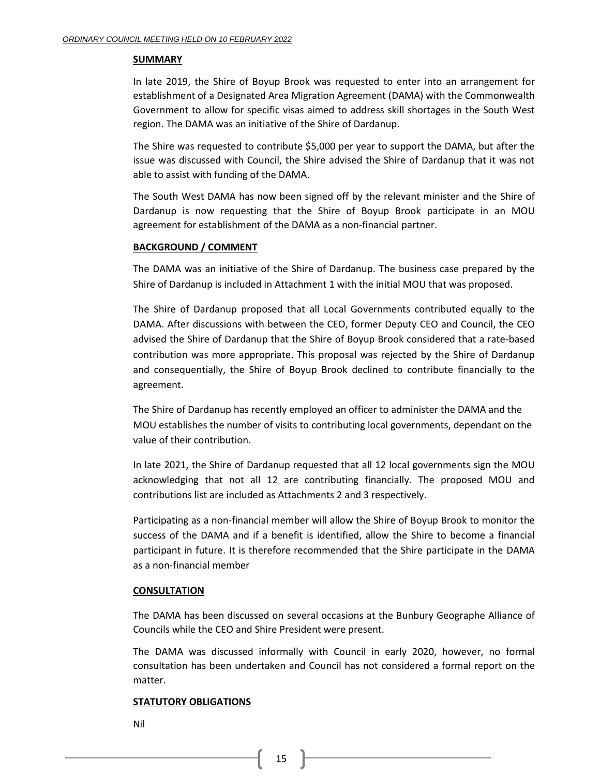#### **SUMMARY**

In late 2019, the Shire of Boyup Brook was requested to enter into an arrangement for establishment of a Designated Area Migration Agreement (DAMA) with the Commonwealth Government to allow for specific visas aimed to address skill shortages in the South West region. The DAMA was an initiative of the Shire of Dardanup.

The Shire was requested to contribute \$5,000 per year to support the DAMA, but after the issue was discussed with Council, the Shire advised the Shire of Dardanup that it was not able to assist with funding of the DAMA.

The South West DAMA has now been signed off by the relevant minister and the Shire of Dardanup is now requesting that the Shire of Boyup Brook participate in an MOU agreement for establishment of the DAMA as a non-financial partner.

### **BACKGROUND / COMMENT**

The DAMA was an initiative of the Shire of Dardanup. The business case prepared by the Shire of Dardanup is included in Attachment 1 with the initial MOU that was proposed.

The Shire of Dardanup proposed that all Local Governments contributed equally to the DAMA. After discussions with between the CEO, former Deputy CEO and Council, the CEO advised the Shire of Dardanup that the Shire of Boyup Brook considered that a rate-based contribution was more appropriate. This proposal was rejected by the Shire of Dardanup and consequentially, the Shire of Boyup Brook declined to contribute financially to the agreement.

The Shire of Dardanup has recently employed an officer to administer the DAMA and the MOU establishes the number of visits to contributing local governments, dependant on the value of their contribution.

In late 2021, the Shire of Dardanup requested that all 12 local governments sign the MOU acknowledging that not all 12 are contributing financially. The proposed MOU and contributions list are included as Attachments 2 and 3 respectively.

Participating as a non-financial member will allow the Shire of Boyup Brook to monitor the success of the DAMA and if a benefit is identified, allow the Shire to become a financial participant in future. It is therefore recommended that the Shire participate in the DAMA as a non-financial member

# **CONSULTATION**

The DAMA has been discussed on several occasions at the Bunbury Geographe Alliance of Councils while the CEO and Shire President were present.

The DAMA was discussed informally with Council in early 2020, however, no formal consultation has been undertaken and Council has not considered a formal report on the matter.

#### **STATUTORY OBLIGATIONS**

Nil